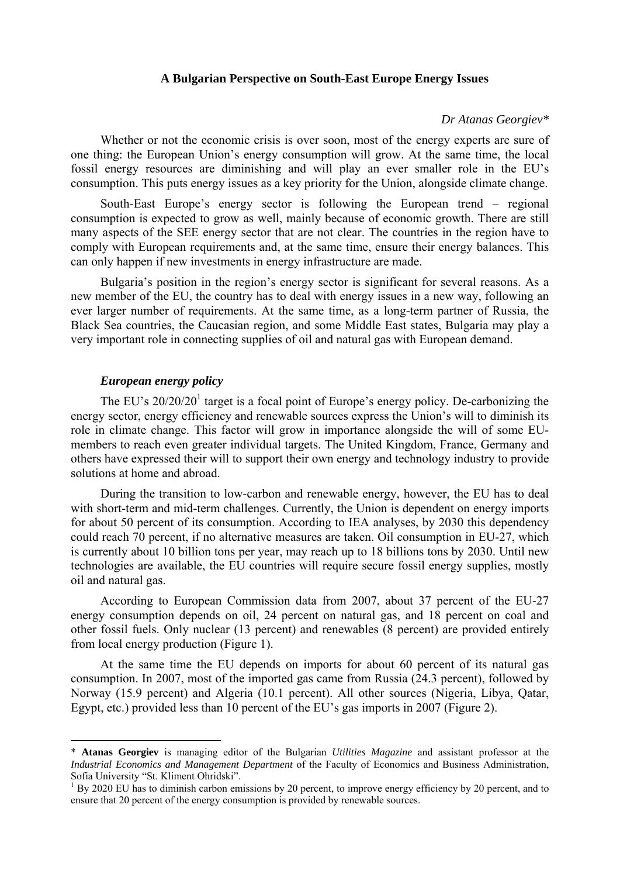#### **A Bulgarian Perspective on South-East Europe Energy Issues**

#### *Dr Atanas Georgiev\**

Whether or not the economic crisis is over soon, most of the energy experts are sure of one thing: the European Union's energy consumption will grow. At the same time, the local fossil energy resources are diminishing and will play an ever smaller role in the EU's consumption. This puts energy issues as a key priority for the Union, alongside climate change.

South-East Europe's energy sector is following the European trend – regional consumption is expected to grow as well, mainly because of economic growth. There are still many aspects of the SEE energy sector that are not clear. The countries in the region have to comply with European requirements and, at the same time, ensure their energy balances. This can only happen if new investments in energy infrastructure are made.

Bulgaria's position in the region's energy sector is significant for several reasons. As a new member of the EU, the country has to deal with energy issues in a new way, following an ever larger number of requirements. At the same time, as a long-term partner of Russia, the Black Sea countries, the Caucasian region, and some Middle East states, Bulgaria may play a very important role in connecting supplies of oil and natural gas with European demand.

#### *European energy policy*

 $\overline{a}$ 

The EU's  $20/20/20<sup>1</sup>$  target is a focal point of Europe's energy policy. De-carbonizing the energy sector, energy efficiency and renewable sources express the Union's will to diminish its role in climate change. This factor will grow in importance alongside the will of some EUmembers to reach even greater individual targets. The United Kingdom, France, Germany and others have expressed their will to support their own energy and technology industry to provide solutions at home and abroad.

During the transition to low-carbon and renewable energy, however, the EU has to deal with short-term and mid-term challenges. Currently, the Union is dependent on energy imports for about 50 percent of its consumption. According to IEA analyses, by 2030 this dependency could reach 70 percent, if no alternative measures are taken. Oil consumption in EU-27, which is currently about 10 billion tons per year, may reach up to 18 billions tons by 2030. Until new technologies are available, the EU countries will require secure fossil energy supplies, mostly oil and natural gas.

According to European Commission data from 2007, about 37 percent of the EU-27 energy consumption depends on oil, 24 percent on natural gas, and 18 percent on coal and other fossil fuels. Only nuclear (13 percent) and renewables (8 percent) are provided entirely from local energy production (Figure 1).

At the same time the EU depends on imports for about 60 percent of its natural gas consumption. In 2007, most of the imported gas came from Russia (24.3 percent), followed by Norway (15.9 percent) and Algeria (10.1 percent). All other sources (Nigeria, Libya, Qatar, Egypt, etc.) provided less than 10 percent of the EU's gas imports in 2007 (Figure 2).

<sup>\*</sup> **Atanas Georgiev** is managing editor of the Bulgarian *Utilities Magazine* and assistant professor at the *Industrial Economics and Management Department* of the Faculty of Economics and Business Administration, Sofia University "St. Kliment Ohridski".

<sup>1</sup> By 2020 EU has to diminish carbon emissions by 20 percent, to improve energy efficiency by 20 percent, and to ensure that 20 percent of the energy consumption is provided by renewable sources.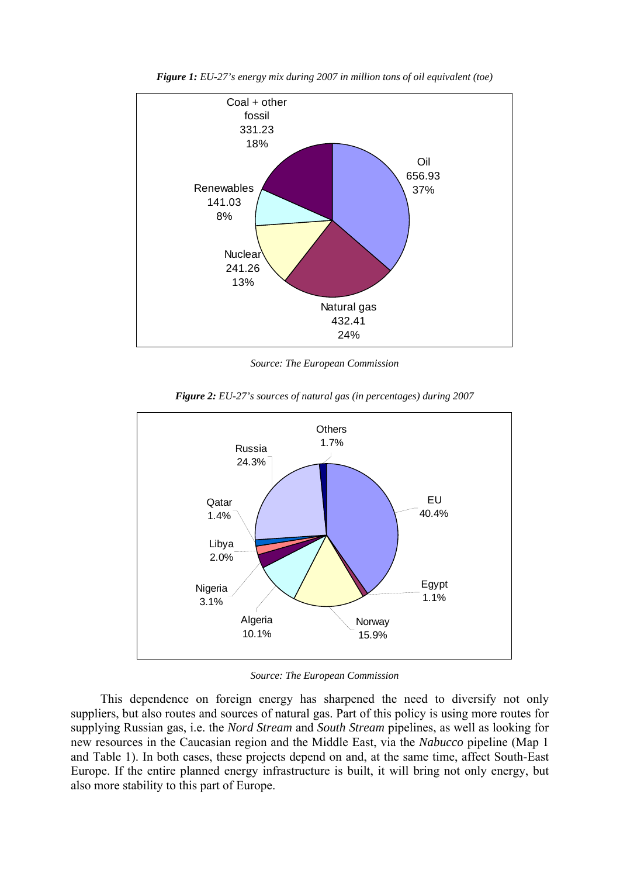

*Figure 1: EU-27's energy mix during 2007 in million tons of oil equivalent (toe)* 

*Source: The European Commission* 



*Figure 2: EU-27's sources of natural gas (in percentages) during 2007* 

*Source: The European Commission* 

This dependence on foreign energy has sharpened the need to diversify not only suppliers, but also routes and sources of natural gas. Part of this policy is using more routes for supplying Russian gas, i.e. the *Nord Stream* and *South Stream* pipelines, as well as looking for new resources in the Caucasian region and the Middle East, via the *Nabucco* pipeline (Map 1 and Table 1). In both cases, these projects depend on and, at the same time, affect South-East Europe. If the entire planned energy infrastructure is built, it will bring not only energy, but also more stability to this part of Europe.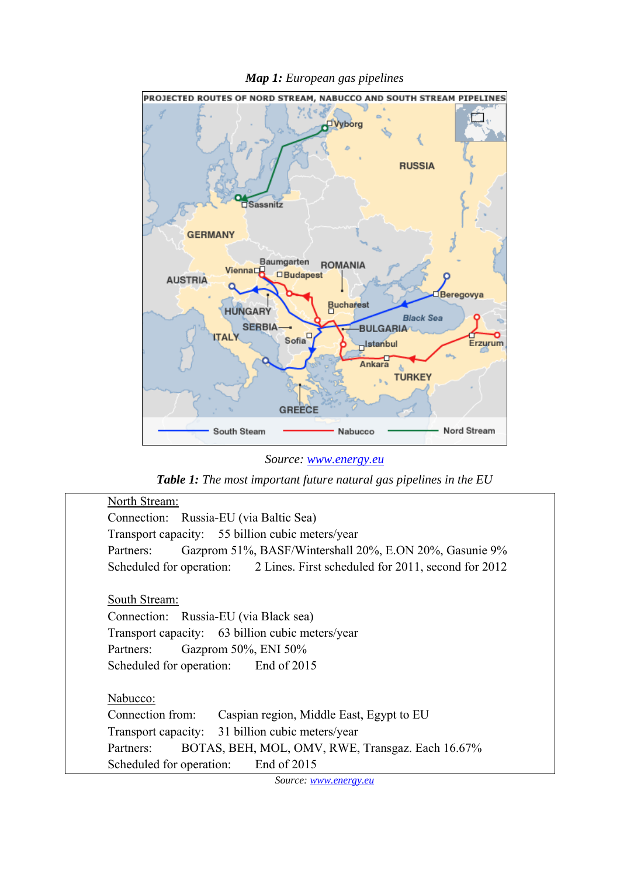*Map 1: European gas pipelines* 



*Source: www.energy.eu* 

*Table 1: The most important future natural gas pipelines in the EU* 

| North Stream:                                                               |
|-----------------------------------------------------------------------------|
| Connection: Russia-EU (via Baltic Sea)                                      |
| Transport capacity: 55 billion cubic meters/year                            |
| Gazprom 51%, BASF/Wintershall 20%, E.ON 20%, Gasunie 9%<br>Partners:        |
| Scheduled for operation: 2 Lines. First scheduled for 2011, second for 2012 |
|                                                                             |
| South Stream:                                                               |
| Connection: Russia-EU (via Black sea)                                       |
| Transport capacity: 63 billion cubic meters/year                            |
| Gazprom 50%, ENI 50%<br>Partners:                                           |
| Scheduled for operation: End of 2015                                        |
|                                                                             |
| Nabucco:                                                                    |
| Connection from:<br>Caspian region, Middle East, Egypt to EU                |
| Transport capacity: 31 billion cubic meters/year                            |
| BOTAS, BEH, MOL, OMV, RWE, Transgaz. Each 16.67%<br>Partners:               |
| End of 2015<br>Scheduled for operation:                                     |
| $\mathbf{C}_{\text{average}}$                                               |

*Source: www.energy.eu*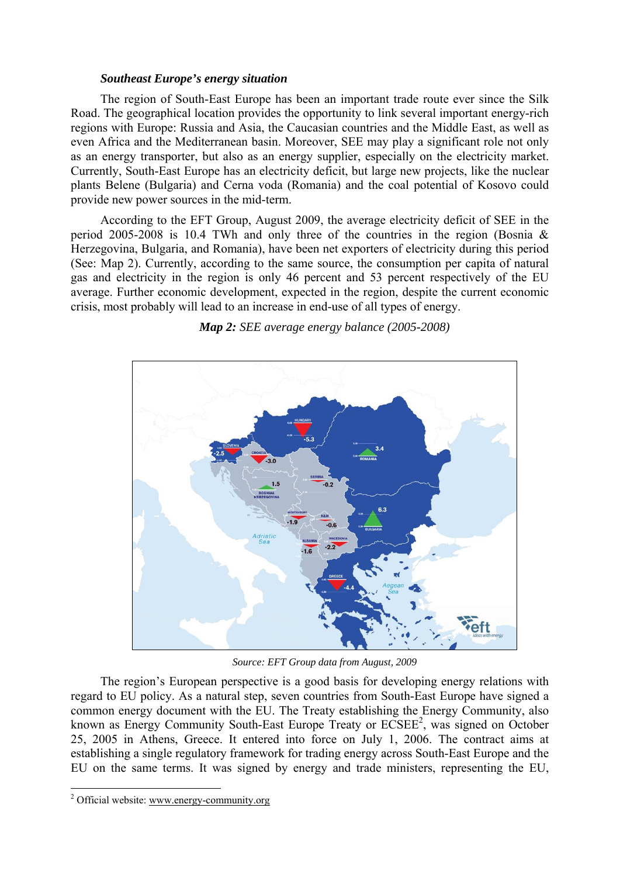### *Southeast Europe's energy situation*

The region of South-East Europe has been an important trade route ever since the Silk Road. The geographical location provides the opportunity to link several important energy-rich regions with Europe: Russia and Asia, the Caucasian countries and the Middle East, as well as even Africa and the Mediterranean basin. Moreover, SEE may play a significant role not only as an energy transporter, but also as an energy supplier, especially on the electricity market. Currently, South-East Europe has an electricity deficit, but large new projects, like the nuclear plants Belene (Bulgaria) and Cerna voda (Romania) and the coal potential of Kosovo could provide new power sources in the mid-term.

According to the EFT Group, August 2009, the average electricity deficit of SEE in the period 2005-2008 is 10.4 TWh and only three of the countries in the region (Bosnia & Herzegovina, Bulgaria, and Romania), have been net exporters of electricity during this period (See: Map 2). Currently, according to the same source, the consumption per capita of natural gas and electricity in the region is only 46 percent and 53 percent respectively of the EU average. Further economic development, expected in the region, despite the current economic crisis, most probably will lead to an increase in end-use of all types of energy.



*Map 2: SEE average energy balance (2005-2008)* 

*Source: EFT Group data from August, 2009*

The region's European perspective is a good basis for developing energy relations with regard to EU policy. As a natural step, seven countries from South-East Europe have signed a common energy document with the EU. The Treaty establishing the Energy Community, also known as Energy Community South-East Europe Treaty or ECSEE<sup>2</sup>, was signed on October 25, 2005 in Athens, Greece. It entered into force on July 1, 2006. The contract aims at establishing a single regulatory framework for trading energy across South-East Europe and the EU on the same terms. It was signed by energy and trade ministers, representing the EU,

 $\overline{a}$ 

<sup>&</sup>lt;sup>2</sup> Official website: www.energy-community.org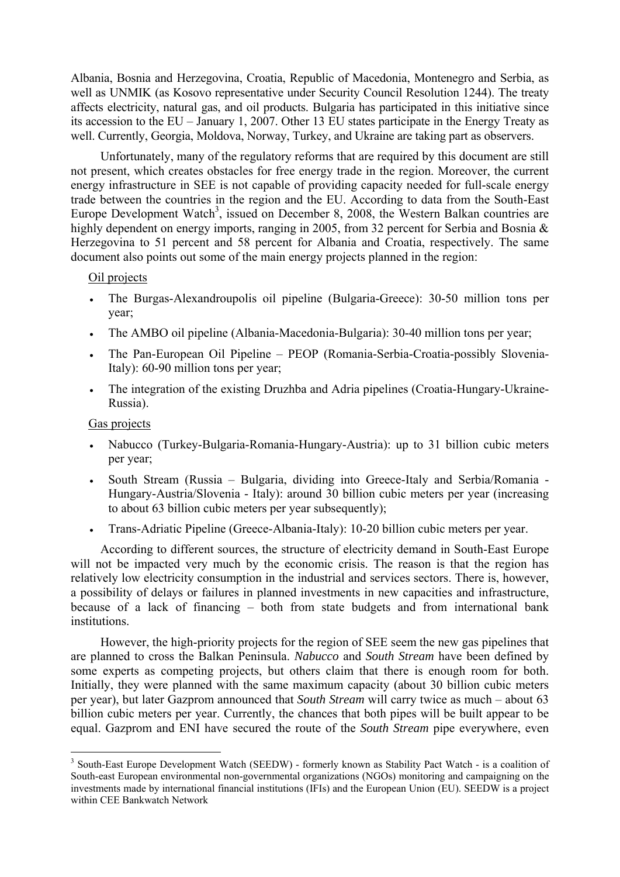Albania, Bosnia and Herzegovina, Croatia, Republic of Macedonia, Montenegro and Serbia, as well as UNMIK (as Kosovo representative under Security Council Resolution 1244). The treaty affects electricity, natural gas, and oil products. Bulgaria has participated in this initiative since its accession to the EU – January 1, 2007. Other 13 EU states participate in the Energy Treaty as well. Currently, Georgia, Moldova, Norway, Turkey, and Ukraine are taking part as observers.

Unfortunately, many of the regulatory reforms that are required by this document are still not present, which creates obstacles for free energy trade in the region. Moreover, the current energy infrastructure in SEE is not capable of providing capacity needed for full-scale energy trade between the countries in the region and the EU. According to data from the South-East Europe Development Watch<sup>3</sup>, issued on December 8, 2008, the Western Balkan countries are highly dependent on energy imports, ranging in 2005, from 32 percent for Serbia and Bosnia & Herzegovina to 51 percent and 58 percent for Albania and Croatia, respectively. The same document also points out some of the main energy projects planned in the region:

# Oil projects

- The Burgas-Alexandroupolis oil pipeline (Bulgaria-Greece): 30-50 million tons per year;
- The AMBO oil pipeline (Albania-Macedonia-Bulgaria): 30-40 million tons per year;
- The Pan-European Oil Pipeline PEOP (Romania-Serbia-Croatia-possibly Slovenia-Italy): 60-90 million tons per year;
- The integration of the existing Druzhba and Adria pipelines (Croatia-Hungary-Ukraine-Russia).

# Gas projects

 $\overline{a}$ 

- Nabucco (Turkey-Bulgaria-Romania-Hungary-Austria): up to 31 billion cubic meters per year;
- South Stream (Russia Bulgaria, dividing into Greece-Italy and Serbia/Romania Hungary-Austria/Slovenia - Italy): around 30 billion cubic meters per year (increasing to about 63 billion cubic meters per year subsequently);
- Trans-Adriatic Pipeline (Greece-Albania-Italy): 10-20 billion cubic meters per year.

According to different sources, the structure of electricity demand in South-East Europe will not be impacted very much by the economic crisis. The reason is that the region has relatively low electricity consumption in the industrial and services sectors. There is, however, a possibility of delays or failures in planned investments in new capacities and infrastructure, because of a lack of financing – both from state budgets and from international bank institutions.

However, the high-priority projects for the region of SEE seem the new gas pipelines that are planned to cross the Balkan Peninsula. *Nabucco* and *South Stream* have been defined by some experts as competing projects, but others claim that there is enough room for both. Initially, they were planned with the same maximum capacity (about 30 billion cubic meters per year), but later Gazprom announced that *South Stream* will carry twice as much – about 63 billion cubic meters per year. Currently, the chances that both pipes will be built appear to be equal. Gazprom and ENI have secured the route of the *South Stream* pipe everywhere, even

<sup>&</sup>lt;sup>3</sup> South-East Europe Development Watch (SEEDW) - formerly known as Stability Pact Watch - is a coalition of South-east European environmental non-governmental organizations (NGOs) monitoring and campaigning on the investments made by international financial institutions (IFIs) and the European Union (EU). SEEDW is a project within CEE Bankwatch Network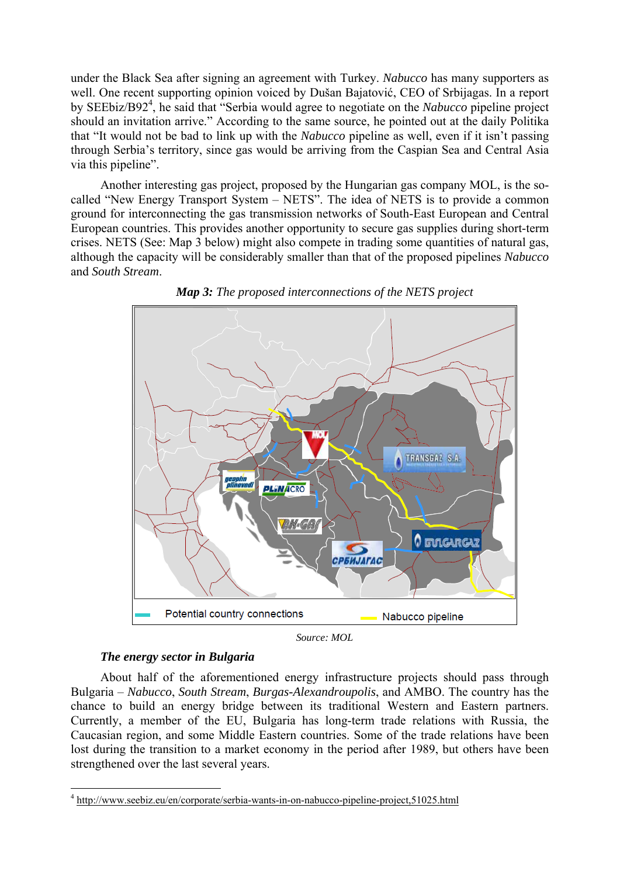under the Black Sea after signing an agreement with Turkey. *Nabucco* has many supporters as well. One recent supporting opinion voiced by Dušan Bajatović, CEO of Srbijagas. In a report by SEEbiz/B92<sup>4</sup>, he said that "Serbia would agree to negotiate on the *Nabucco* pipeline project should an invitation arrive." According to the same source, he pointed out at the daily Politika that "It would not be bad to link up with the *Nabucco* pipeline as well, even if it isn't passing through Serbia's territory, since gas would be arriving from the Caspian Sea and Central Asia via this pipeline".

Another interesting gas project, proposed by the Hungarian gas company MOL, is the socalled "New Energy Transport System – NETS". The idea of NETS is to provide a common ground for interconnecting the gas transmission networks of South-East European and Central European countries. This provides another opportunity to secure gas supplies during short-term crises. NETS (See: Map 3 below) might also compete in trading some quantities of natural gas, although the capacity will be considerably smaller than that of the proposed pipelines *Nabucco* and *South Stream*.



*Map 3: The proposed interconnections of the NETS project* 

*Source: MOL* 

# *The energy sector in Bulgaria*

 $\overline{a}$ 

About half of the aforementioned energy infrastructure projects should pass through Bulgaria – *Nabucco*, *South Stream*, *Burgas-Alexandroupolis*, and AMBO. The country has the chance to build an energy bridge between its traditional Western and Eastern partners. Currently, a member of the EU, Bulgaria has long-term trade relations with Russia, the Caucasian region, and some Middle Eastern countries. Some of the trade relations have been lost during the transition to a market economy in the period after 1989, but others have been strengthened over the last several years.

<sup>&</sup>lt;sup>4</sup> http://www.seebiz.eu/en/corporate/serbia-wants-in-on-nabucco-pipeline-project,51025.html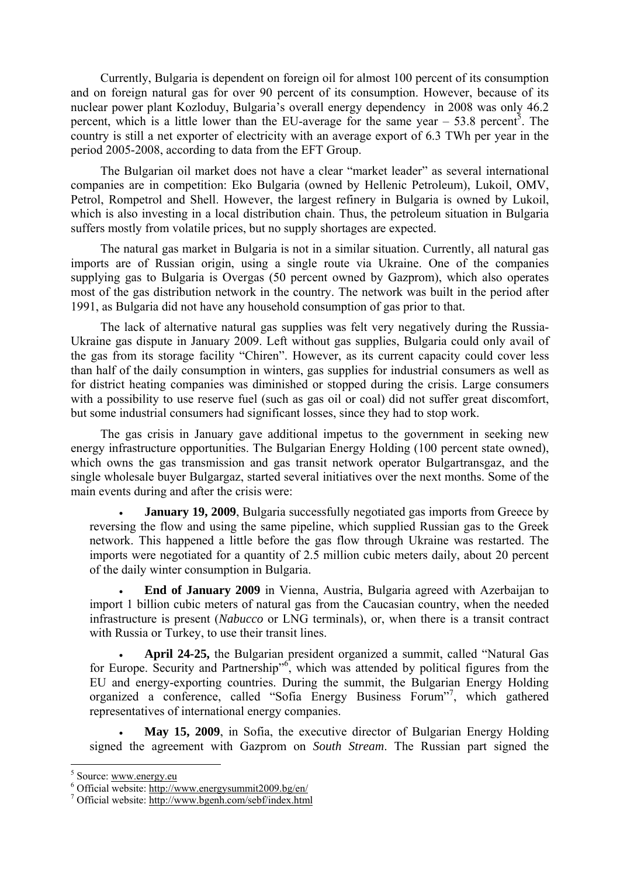Currently, Bulgaria is dependent on foreign oil for almost 100 percent of its consumption and on foreign natural gas for over 90 percent of its consumption. However, because of its nuclear power plant Kozloduy, Bulgaria's overall energy dependency in 2008 was only 46.2 percent, which is a little lower than the EU-average for the same year  $-53.8$  percent<sup>5</sup>. The country is still a net exporter of electricity with an average export of 6.3 TWh per year in the period 2005-2008, according to data from the EFT Group.

The Bulgarian oil market does not have a clear "market leader" as several international companies are in competition: Eko Bulgaria (owned by Hellenic Petroleum), Lukoil, OMV, Petrol, Rompetrol and Shell. However, the largest refinery in Bulgaria is owned by Lukoil, which is also investing in a local distribution chain. Thus, the petroleum situation in Bulgaria suffers mostly from volatile prices, but no supply shortages are expected.

The natural gas market in Bulgaria is not in a similar situation. Currently, all natural gas imports are of Russian origin, using a single route via Ukraine. One of the companies supplying gas to Bulgaria is Overgas (50 percent owned by Gazprom), which also operates most of the gas distribution network in the country. The network was built in the period after 1991, as Bulgaria did not have any household consumption of gas prior to that.

The lack of alternative natural gas supplies was felt very negatively during the Russia-Ukraine gas dispute in January 2009. Left without gas supplies, Bulgaria could only avail of the gas from its storage facility "Chiren". However, as its current capacity could cover less than half of the daily consumption in winters, gas supplies for industrial consumers as well as for district heating companies was diminished or stopped during the crisis. Large consumers with a possibility to use reserve fuel (such as gas oil or coal) did not suffer great discomfort, but some industrial consumers had significant losses, since they had to stop work.

The gas crisis in January gave additional impetus to the government in seeking new energy infrastructure opportunities. The Bulgarian Energy Holding (100 percent state owned), which owns the gas transmission and gas transit network operator Bulgartransgaz, and the single wholesale buyer Bulgargaz, started several initiatives over the next months. Some of the main events during and after the crisis were:

**January 19, 2009**, Bulgaria successfully negotiated gas imports from Greece by reversing the flow and using the same pipeline, which supplied Russian gas to the Greek network. This happened a little before the gas flow through Ukraine was restarted. The imports were negotiated for a quantity of 2.5 million cubic meters daily, about 20 percent of the daily winter consumption in Bulgaria.

• **End of January 2009** in Vienna, Austria, Bulgaria agreed with Azerbaijan to import 1 billion cubic meters of natural gas from the Caucasian country, when the needed infrastructure is present (*Nabucco* or LNG terminals), or, when there is a transit contract with Russia or Turkey, to use their transit lines.

• **April 24-25,** the Bulgarian president organized a summit, called "Natural Gas for Europe. Security and Partnership<sup>36</sup>, which was attended by political figures from the EU and energy-exporting countries. During the summit, the Bulgarian Energy Holding organized a conference, called "Sofia Energy Business Forum"<sup>7</sup> , which gathered representatives of international energy companies.

• **May 15, 2009**, in Sofia, the executive director of Bulgarian Energy Holding signed the agreement with Gazprom on *South Stream*. The Russian part signed the

 $\overline{a}$ 

 $^5$  Source: www.energy.eu<br> $^6$  Official website: http://w

Official website: http://www.energysummit2009.bg/en/ 7

Official website: http://www.bgenh.com/sebf/index.html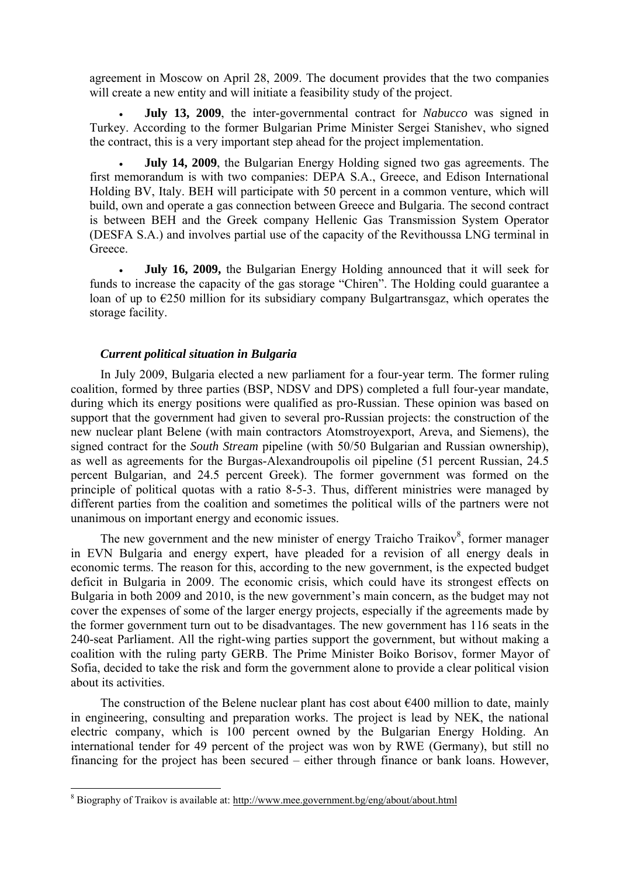agreement in Moscow on April 28, 2009. The document provides that the two companies will create a new entity and will initiate a feasibility study of the project.

• **July 13, 2009**, the inter-governmental contract for *Nabucco* was signed in Turkey. According to the former Bulgarian Prime Minister Sergei Stanishev, who signed the contract, this is a very important step ahead for the project implementation.

• **July 14, 2009**, the Bulgarian Energy Holding signed two gas agreements. The first memorandum is with two companies: DEPA S.A., Greece, and Edison International Holding BV, Italy. BEH will participate with 50 percent in a common venture, which will build, own and operate a gas connection between Greece and Bulgaria. The second contract is between BEH and the Greek company Hellenic Gas Transmission System Operator (DESFA S.A.) and involves partial use of the capacity of the Revithoussa LNG terminal in **Greece** 

• **July 16, 2009,** the Bulgarian Energy Holding announced that it will seek for funds to increase the capacity of the gas storage "Chiren". The Holding could guarantee a loan of up to €250 million for its subsidiary company Bulgartransgaz, which operates the storage facility.

# *Current political situation in Bulgaria*

In July 2009, Bulgaria elected a new parliament for a four-year term. The former ruling coalition, formed by three parties (BSP, NDSV and DPS) completed a full four-year mandate, during which its energy positions were qualified as pro-Russian. These opinion was based on support that the government had given to several pro-Russian projects: the construction of the new nuclear plant Belene (with main contractors Atomstroyexport, Areva, and Siemens), the signed contract for the *South Stream* pipeline (with 50/50 Bulgarian and Russian ownership), as well as agreements for the Burgas-Alexandroupolis oil pipeline (51 percent Russian, 24.5 percent Bulgarian, and 24.5 percent Greek). The former government was formed on the principle of political quotas with a ratio 8-5-3. Thus, different ministries were managed by different parties from the coalition and sometimes the political wills of the partners were not unanimous on important energy and economic issues.

The new government and the new minister of energy Traicho Traikov<sup>8</sup>, former manager in EVN Bulgaria and energy expert, have pleaded for a revision of all energy deals in economic terms. The reason for this, according to the new government, is the expected budget deficit in Bulgaria in 2009. The economic crisis, which could have its strongest effects on Bulgaria in both 2009 and 2010, is the new government's main concern, as the budget may not cover the expenses of some of the larger energy projects, especially if the agreements made by the former government turn out to be disadvantages. The new government has 116 seats in the 240-seat Parliament. All the right-wing parties support the government, but without making a coalition with the ruling party GERB. The Prime Minister Boiko Borisov, former Mayor of Sofia, decided to take the risk and form the government alone to provide a clear political vision about its activities.

The construction of the Belene nuclear plant has cost about  $\epsilon$ 400 million to date, mainly in engineering, consulting and preparation works. The project is lead by NEK, the national electric company, which is 100 percent owned by the Bulgarian Energy Holding. An international tender for 49 percent of the project was won by RWE (Germany), but still no financing for the project has been secured – either through finance or bank loans. However,

<sup>&</sup>lt;sup>8</sup> Biography of Traikov is available at: http://www.mee.government.bg/eng/about/about.html